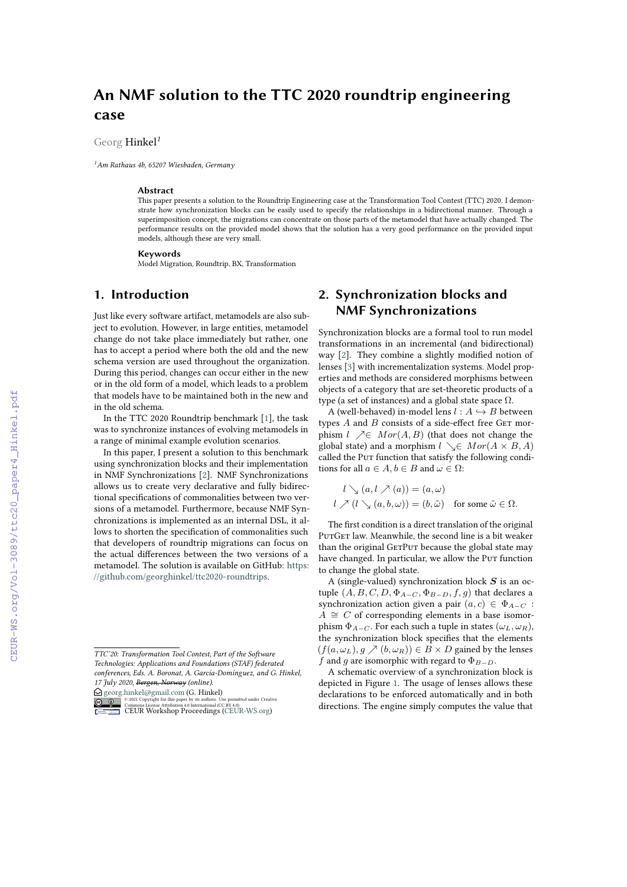# **An NMF solution to the TTC 2020 roundtrip engineering case**

#### Georg Hinkel*<sup>1</sup>*

*<sup>1</sup>Am Rathaus 4b, 65207 Wiesbaden, Germany*

#### **Abstract**

This paper presents a solution to the Roundtrip Engineering case at the Transformation Tool Contest (TTC) 2020. I demonstrate how synchronization blocks can be easily used to specify the relationships in a bidirectional manner. Through a superimposition concept, the migrations can concentrate on those parts of the metamodel that have actually changed. The performance results on the provided model shows that the solution has a very good performance on the provided input models, although these are very small.

#### **Keywords**

Model Migration, Roundtrip, BX, Transformation

# **1. Introduction**

Just like every software artifact, metamodels are also subject to evolution. However, in large entities, metamodel change do not take place immediately but rather, one has to accept a period where both the old and the new schema version are used throughout the organization. During this period, changes can occur either in the new or in the old form of a model, which leads to a problem that models have to be maintained both in the new and in the old schema.

In the TTC 2020 Roundtrip benchmark [\[1\]](#page--1-0), the task was to synchronize instances of evolving metamodels in a range of minimal example evolution scenarios.

In this paper, I present a solution to this benchmark using synchronization blocks and their implementation in NMF Synchronizations [\[2\]](#page--1-1). NMF Synchronizations allows us to create very declarative and fully bidirectional specifications of commonalities between two versions of a metamodel. Furthermore, because NMF Synchronizations is implemented as an internal DSL, it allows to shorten the specification of commonalities such that developers of roundtrip migrations can focus on the actual differences between the two versions of a metamodel. The solution is available on GitHub: [https:](https://github.com/georghinkel/ttc2020-roundtrips) [//github.com/georghinkel/ttc2020-roundtrips.](https://github.com/georghinkel/ttc2020-roundtrips)

 $\bigcirc$  [georg.hinkel@gmail.com](mailto:georg.hinkel@gmail.com) (G. Hinkel) **O** 2021 Copyright for this paper by its authors. Use permitted under Creative<br> [CEUR](https://creativecommons.org/licenses/by/4.0) Workshop [Proceedings](http://ceur-ws.org) (CEBUR-WS.org)

# **2. Synchronization blocks and NMF Synchronizations**

Synchronization blocks are a formal tool to run model transformations in an incremental (and bidirectional) way [\[2\]](#page--1-1). They combine a slightly modified notion of lenses [\[3\]](#page--1-2) with incrementalization systems. Model properties and methods are considered morphisms between objects of a category that are set-theoretic products of a type (a set of instances) and a global state space  $\Omega$ .

A (well-behaved) in-model lens  $l : A \hookrightarrow B$  between types  $A$  and  $B$  consists of a side-effect free GET morphism  $l \nearrow \in Mor(A, B)$  (that does not change the global state) and a morphism  $l \searrow \in Mor(A \times B, A)$ called the Put function that satisfy the following conditions for all  $a \in A$ ,  $b \in B$  and  $\omega \in \Omega$ :

$$
l \searrow (a, l \nearrow (a)) = (a, \omega)
$$
  

$$
l \nearrow (l \searrow (a, b, \omega)) = (b, \tilde{\omega}) \text{ for some } \tilde{\omega} \in \Omega.
$$

The first condition is a direct translation of the original PUTGET law. Meanwhile, the second line is a bit weaker than the original GETPUT because the global state may have changed. In particular, we allow the Pur function to change the global state.

A (single-valued) synchronization block  $S$  is an octuple  $(A, B, C, D, \Phi_{A-C}, \Phi_{B-D}, f, g)$  that declares a synchronization action given a pair  $(a, c) \in \Phi_{A-C}$ :  $A \cong C$  of corresponding elements in a base isomorphism  $\Phi_{A-C}$ . For each such a tuple in states  $(\omega_L, \omega_R)$ , the synchronization block specifies that the elements  $(f(a, \omega_L), g \nearrow (b, \omega_R)) \in B \times D$  gained by the lenses f and g are isomorphic with regard to  $\Phi_{B-D}$ .

A schematic overview of a synchronization block is depicted in Figure [1.](#page--1-3) The usage of lenses allows these declarations to be enforced automatically and in both directions. The engine simply computes the value that

*TTC'20: Transformation Tool Contest, Part of the Software Technologies: Applications and Foundations (STAF) federated conferences, Eds. A. Boronat, A. García-Domínguez, and G. Hinkel, 17 July 2020, Bergen, Norway (online).*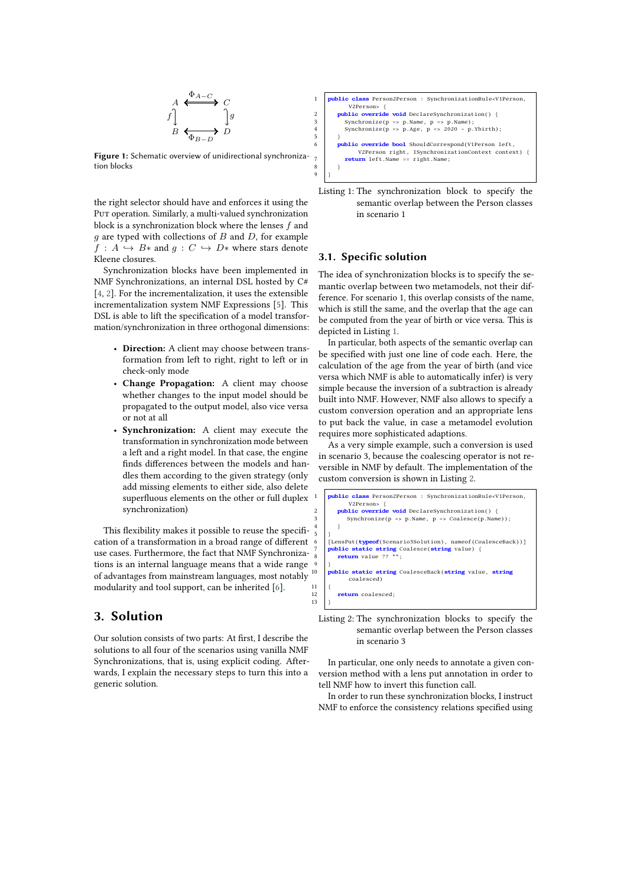

**Figure 1:** Schematic overview of unidirectional synchronization blocks

the right selector should have and enforces it using the Put operation. Similarly, a multi-valued synchronization block is a synchronization block where the lenses  $f$  and  $q$  are typed with collections of  $B$  and  $D$ , for example  $f : A \hookrightarrow B*$  and  $g : C \hookrightarrow D*$  where stars denote Kleene closures.

Synchronization blocks have been implemented in NMF Synchronizations, an internal DSL hosted by C# [\[4,](#page-4-0) [2\]](#page-3-0). For the incrementalization, it uses the extensible incrementalization system NMF Expressions [\[5\]](#page-4-1). This DSL is able to lift the specification of a model transformation/synchronization in three orthogonal dimensions:

- **Direction:** A client may choose between transformation from left to right, right to left or in check-only mode
- **Change Propagation:** A client may choose whether changes to the input model should be propagated to the output model, also vice versa or not at all
- **Synchronization:** A client may execute the transformation in synchronization mode between a left and a right model. In that case, the engine finds differences between the models and handles them according to the given strategy (only add missing elements to either side, also delete superfluous elements on the other or full duplex synchronization)

This flexibility makes it possible to reuse the specification of a transformation in a broad range of different use cases. Furthermore, the fact that NMF Synchronizations is an internal language means that a wide range of advantages from mainstream languages, most notably modularity and tool support, can be inherited [\[6\]](#page-4-2).

## **3. Solution**

Our solution consists of two parts: At first, I describe the solutions to all four of the scenarios using vanilla NMF Synchronizations, that is, using explicit coding. Afterwards, I explain the necessary steps to turn this into a generic solution.

<span id="page-1-0"></span>



#### **3.1. Specific solution**

 $\overline{5}$ 

 $\begin{array}{c} 11 \\ 12 \end{array}$ 

13 }

The idea of synchronization blocks is to specify the semantic overlap between two metamodels, not their difference. For scenario 1, this overlap consists of the name, which is still the same, and the overlap that the age can be computed from the year of birth or vice versa. This is depicted in Listing [1.](#page-1-0)

In particular, both aspects of the semantic overlap can be specified with just one line of code each. Here, the calculation of the age from the year of birth (and vice versa which NMF is able to automatically infer) is very simple because the inversion of a subtraction is already built into NMF. However, NMF also allows to specify a custom conversion operation and an appropriate lens to put back the value, in case a metamodel evolution requires more sophisticated adaptions.

As a very simple example, such a conversion is used in scenario 3, because the coalescing operator is not reversible in NMF by default. The implementation of the custom conversion is shown in Listing [2.](#page-1-1)

```
blic class Person2Person : SynchronizationRule<V1Person,
           V2Person> {
        2 public override void DeclareSynchronization() {
          Synchronicze(p \Rightarrow p.Name, p \Rightarrow Coalesce(p.Name));
 4 }
     6 [LensPut(typeof(Scenario3Solution), nameof(CoalesceBack))]
     7 public static string Coalesce(string value) {
        return value ??
 9 }
10 public static string CoalesceBack(string value, string
           coalesced)
         12 return coalesced;
```
Listing 2: The synchronization blocks to specify the semantic overlap between the Person classes in scenario 3

In particular, one only needs to annotate a given conversion method with a lens put annotation in order to tell NMF how to invert this function call.

In order to run these synchronization blocks, I instruct NMF to enforce the consistency relations specified using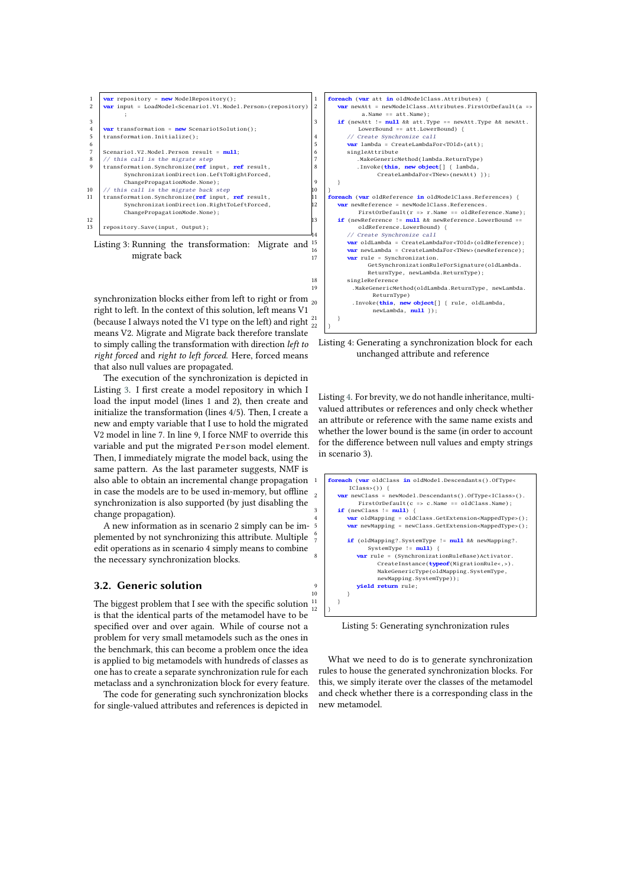<span id="page-2-0"></span>

| 1              | var repository = new ModelRepository();                                                          |
|----------------|--------------------------------------------------------------------------------------------------|
| $\mathfrak{D}$ | <b>var</b> input = LoadModel <scenario1.v1.model.person>(repository)</scenario1.v1.model.person> |
|                | ÷                                                                                                |
| 3              |                                                                                                  |
| $\overline{4}$ | <b>var</b> transformation = $new$ Scenario1Solution();                                           |
| 5              | transformation.Initialize();                                                                     |
| 6              |                                                                                                  |
| 7              | Scenario1.V2.Model.Person result = $null;$                                                       |
| 8              | // this call is the migrate step                                                                 |
| 9              | transformation.Synchronize(ref input, ref result,                                                |
|                | SynchronizationDirection.LeftToRightForced,                                                      |
|                | ChangePropagationMode.None);                                                                     |
| 10             | // this call is the migrate back step                                                            |
| 11             | transformation.Synchronize(ref input, ref result,                                                |
|                | SynchronizationDirection.RightToLeftForced,                                                      |
|                | ChangePropagationMode.None);                                                                     |
| 12             |                                                                                                  |
| 13             | repository. Save(input, Output);                                                                 |
|                | $\sim$ $\sim$<br>$\sim$ $\sim$<br>.                                                              |

Listing 3: Running the transformation: Migrate and <sup>15</sup> migrate back

synchronization blocks either from left to right or from  $_{20}$ right to left. In the context of this solution, left means V1 (because I always noted the V1 type on the left) and right  $\frac{21}{22}$   $\Big\}$ means V2. Migrate and Migrate back therefore translate to simply calling the transformation with direction *left to right forced* and *right to left forced*. Here, forced means that also null values are propagated.

The execution of the synchronization is depicted in Listing [3.](#page-2-0) I first create a model repository in which I load the input model (lines 1 and 2), then create and initialize the transformation (lines 4/5). Then, I create a new and empty variable that I use to hold the migrated V2 model in line 7. In line 9, I force NMF to override this variable and put the migrated Person model element. Then, I immediately migrate the model back, using the same pattern. As the last parameter suggests, NMF is also able to obtain an incremental change propagation in case the models are to be used in-memory, but offline synchronization is also supported (by just disabling the change propagation).

A new information as in scenario 2 simply can be implemented by not synchronizing this attribute. Multiple edit operations as in scenario 4 simply means to combine the necessary synchronization blocks.

#### **3.2. Generic solution**

The biggest problem that I see with the specific solution is that the identical parts of the metamodel have to be specified over and over again. While of course not a problem for very small metamodels such as the ones in the benchmark, this can become a problem once the idea is applied to big metamodels with hundreds of classes as one has to create a separate synchronization rule for each metaclass and a synchronization block for every feature.

The code for generating such synchronization blocks for single-valued attributes and references is depicted in

<span id="page-2-1"></span>

Listing 4: Generating a synchronization block for each unchanged attribute and reference

Listing [4.](#page-2-1) For brevity, we do not handle inheritance, multivalued attributes or references and only check whether an attribute or reference with the same name exists and whether the lower bound is the same (in order to account for the difference between null values and empty strings in scenario 3).



Listing 5: Generating synchronization rules

What we need to do is to generate synchronization rules to house the generated synchronization blocks. For this, we simply iterate over the classes of the metamodel and check whether there is a corresponding class in the new metamodel.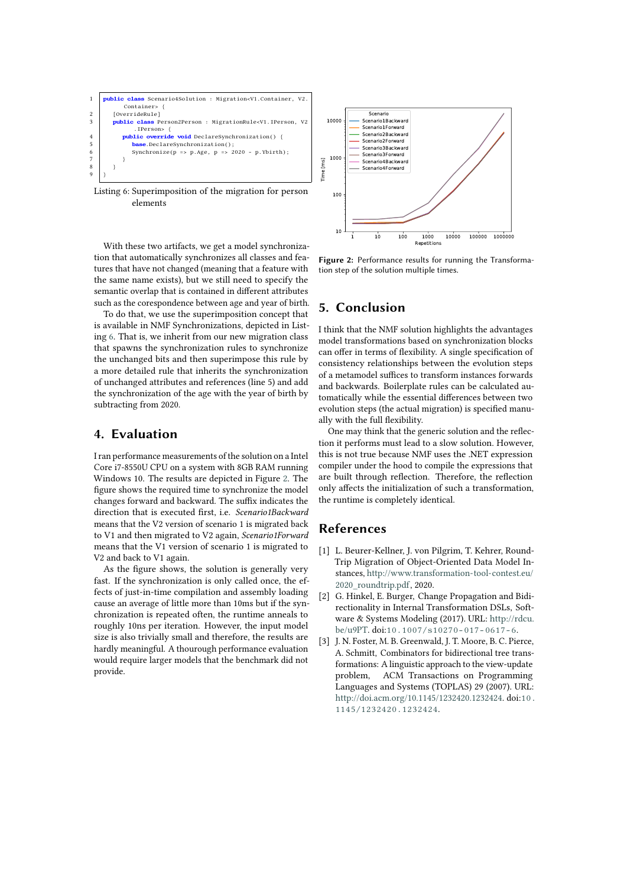<span id="page-3-1"></span>

Listing 6: Superimposition of the migration for person elements

With these two artifacts, we get a model synchronization that automatically synchronizes all classes and features that have not changed (meaning that a feature with the same name exists), but we still need to specify the semantic overlap that is contained in different attributes such as the corespondence between age and year of birth.

To do that, we use the superimposition concept that is available in NMF Synchronizations, depicted in Listing [6.](#page-3-1) That is, we inherit from our new migration class that spawns the synchronization rules to synchronize the unchanged bits and then superimpose this rule by a more detailed rule that inherits the synchronization of unchanged attributes and references (line 5) and add the synchronization of the age with the year of birth by subtracting from 2020.

#### **4. Evaluation**

I ran performance measurements of the solution on a Intel Core i7-8550U CPU on a system with 8GB RAM running Windows 10. The results are depicted in Figure [2.](#page-3-2) The figure shows the required time to synchronize the model changes forward and backward. The suffix indicates the direction that is executed first, i.e. *Scenario1Backward* means that the V2 version of scenario 1 is migrated back to V1 and then migrated to V2 again, *Scenario1Forward* means that the V1 version of scenario 1 is migrated to V2 and back to V1 again.

As the figure shows, the solution is generally very fast. If the synchronization is only called once, the effects of just-in-time compilation and assembly loading cause an average of little more than 10ms but if the synchronization is repeated often, the runtime anneals to roughly 10ns per iteration. However, the input model size is also trivially small and therefore, the results are hardly meaningful. A thourough performance evaluation would require larger models that the benchmark did not provide.

<span id="page-3-2"></span>

**Figure 2:** Performance results for running the Transformation step of the solution multiple times.

### **5. Conclusion**

I think that the NMF solution highlights the advantages model transformations based on synchronization blocks can offer in terms of flexibility. A single specification of consistency relationships between the evolution steps of a metamodel suffices to transform instances forwards and backwards. Boilerplate rules can be calculated automatically while the essential differences between two evolution steps (the actual migration) is specified manually with the full flexibility.

One may think that the generic solution and the reflection it performs must lead to a slow solution. However, this is not true because NMF uses the .NET expression compiler under the hood to compile the expressions that are built through reflection. Therefore, the reflection only affects the initialization of such a transformation, the runtime is completely identical.

### **References**

- [1] L. Beurer-Kellner, J. von Pilgrim, T. Kehrer, Round-Trip Migration of Object-Oriented Data Model Instances, [http://www.transformation-tool-contest.eu/](http://www.transformation-tool-contest.eu/2020_roundtrip.pdf) [2020\\_roundtrip.pdf,](http://www.transformation-tool-contest.eu/2020_roundtrip.pdf) 2020.
- <span id="page-3-0"></span>[2] G. Hinkel, E. Burger, Change Propagation and Bidirectionality in Internal Transformation DSLs, Software & Systems Modeling (2017). URL: [http://rdcu.](http://rdcu.be/u9PT) [be/u9PT.](http://rdcu.be/u9PT) doi:[10.1007/s10270-017-0617-6](http://dx.doi.org/10.1007/s10270-017-0617-6).
- [3] J. N. Foster, M. B. Greenwald, J. T. Moore, B. C. Pierce, A. Schmitt, Combinators for bidirectional tree transformations: A linguistic approach to the view-update problem, ACM Transactions on Programming Languages and Systems (TOPLAS) 29 (2007). URL: [http://doi.acm.org/10.1145/1232420.1232424.](http://doi.acm.org/10.1145/1232420.1232424) doi:[10.](http://dx.doi.org/10.1145/1232420.1232424) [1145/1232420.1232424](http://dx.doi.org/10.1145/1232420.1232424).